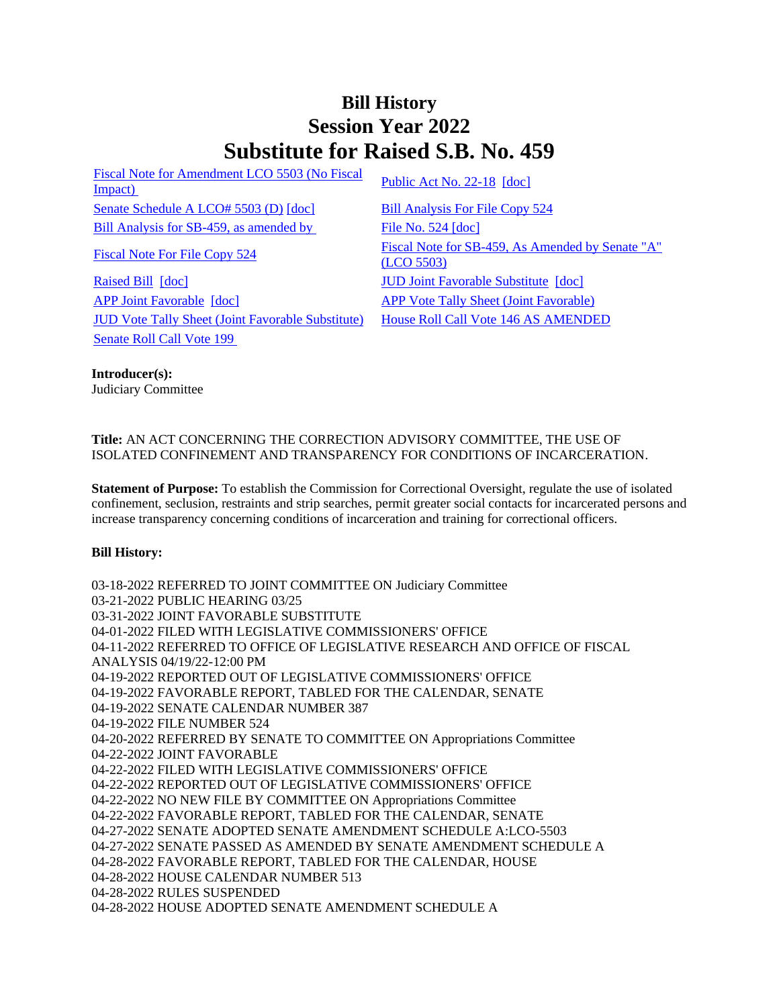## **Bill History Session Year 2022 Substitute for Raised S.B. No. 459**

[Fiscal Note for Amendment LCO 5503 \(No Fiscal](/2022/fna/pdf/2022SB-00459-R00LCO05503-FNA.pdf)  <u>Fiscal Note for Americane ECO</u> 3303 (NO Fiscal<br>[Impact\)](/2022/fna/pdf/2022SB-00459-R00LCO05503-FNA.pdf) [Public Act No. 22-18](/2022/ACT/PA/PDF/2022PA-00018-R00SB-00459-PA.PDF) [\[doc\]](https://search.cga.state.ct.us/dl2022/PA/DOC/2022PA-00018-R00SB-00459-PA.DOCX) [Senate Schedule A LCO# 5503 \(D\)](/2022/amd/S/pdf/2022SB-00459-R00SA-AMD.pdf) [\[doc\]](https://search.cga.state.ct.us/dl2022/AMd/DOC/2022SB-00459-R00SA-AMD.Docx) [Bill Analysis For File Copy 524](/2022/BA/PDF/2022SB-00459-R000524-BA.PDF) [Bill Analysis for SB-459, as amended by](/2022/BA/PDF/2022SB-00459-R01-BA.PDF) [File No. 524](/2022/FC/PDF/2022SB-00459-R000524-FC.PDF) [\[doc\]](https://search.cga.state.ct.us/dl2022/fc/doc/2022SB-00459-R000524-FC.docx)

[Raised Bill](/2022/TOB/S/PDF/2022SB-00459-R00-SB.PDF) [\[doc\]](https://search.cga.state.ct.us/dl2022/TOB/DOC/2022SB-00459-R01-SB.DOCX) **IUD** Joint Favorable Substitute [doc] [APP Joint Favorable](/2022/TOB/S/PDF/2022SB-00459-R02-SB.PDF) [\[doc\]](https://search.cga.state.ct.us/dl2022/TOB/DOC/2022SB-00459-R02-SB.DOCX) [APP Vote Tally Sheet \(Joint Favorable\)](/2022/TS/S/PDF/2022SB-00459-R00APP-CV94-TS.PDF) [JUD Vote Tally Sheet \(Joint Favorable Substitute\)](/2022/TS/S/PDF/2022SB-00459-R00JUD-CV87-TS.PDF) [House Roll Call Vote 146 AS AMENDED](/2022/VOTE/H/PDF/2022HV-00146-R00SB00459-HV.PDF)  [Senate Roll Call Vote 199](/2022/VOTE/S/PDF/2022SV-00199-R00SB00459-SV.PDF) 

[Fiscal Note For File Copy 524](/2022/FN/PDF/2022SB-00459-R000524-FN.PDF) Fiscal Note for SB-459, As Amended by Senate "A" [\(LCO 5503\)](/2022/FN/PDF/2022SB-00459-R01-FN.PDF)

**Introducer(s):** Judiciary Committee

**Title:** AN ACT CONCERNING THE CORRECTION ADVISORY COMMITTEE, THE USE OF ISOLATED CONFINEMENT AND TRANSPARENCY FOR CONDITIONS OF INCARCERATION.

**Statement of Purpose:** To establish the Commission for Correctional Oversight, regulate the use of isolated confinement, seclusion, restraints and strip searches, permit greater social contacts for incarcerated persons and increase transparency concerning conditions of incarceration and training for correctional officers.

## **Bill History:**

03-18-2022 REFERRED TO JOINT COMMITTEE ON Judiciary Committee 03-21-2022 PUBLIC HEARING 03/25 03-31-2022 JOINT FAVORABLE SUBSTITUTE 04-01-2022 FILED WITH LEGISLATIVE COMMISSIONERS' OFFICE 04-11-2022 REFERRED TO OFFICE OF LEGISLATIVE RESEARCH AND OFFICE OF FISCAL ANALYSIS 04/19/22-12:00 PM 04-19-2022 REPORTED OUT OF LEGISLATIVE COMMISSIONERS' OFFICE 04-19-2022 FAVORABLE REPORT, TABLED FOR THE CALENDAR, SENATE 04-19-2022 SENATE CALENDAR NUMBER 387 04-19-2022 FILE NUMBER 524 04-20-2022 REFERRED BY SENATE TO COMMITTEE ON Appropriations Committee 04-22-2022 JOINT FAVORABLE 04-22-2022 FILED WITH LEGISLATIVE COMMISSIONERS' OFFICE 04-22-2022 REPORTED OUT OF LEGISLATIVE COMMISSIONERS' OFFICE 04-22-2022 NO NEW FILE BY COMMITTEE ON Appropriations Committee 04-22-2022 FAVORABLE REPORT, TABLED FOR THE CALENDAR, SENATE 04-27-2022 SENATE ADOPTED SENATE AMENDMENT SCHEDULE A:LCO-5503 04-27-2022 SENATE PASSED AS AMENDED BY SENATE AMENDMENT SCHEDULE A 04-28-2022 FAVORABLE REPORT, TABLED FOR THE CALENDAR, HOUSE 04-28-2022 HOUSE CALENDAR NUMBER 513 04-28-2022 RULES SUSPENDED 04-28-2022 HOUSE ADOPTED SENATE AMENDMENT SCHEDULE A